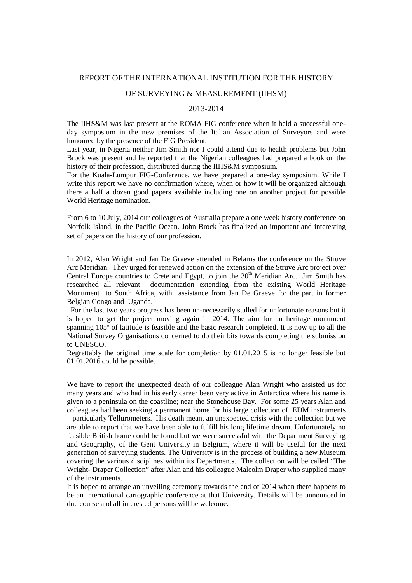# REPORT OF THE INTERNATIONAL INSTITUTION FOR THE HISTORY

# OF SURVEYING & MEASUREMENT (IIHSM)

#### 2013-2014

The IIHS&M was last present at the ROMA FIG conference when it held a successful oneday symposium in the new premises of the Italian Association of Surveyors and were honoured by the presence of the FIG President.

Last year, in Nigeria neither Jim Smith nor I could attend due to health problems but John Brock was present and he reported that the Nigerian colleagues had prepared a book on the history of their profession, distributed during the IIHS&M symposium.

For the Kuala-Lumpur FIG-Conference, we have prepared a one-day symposium. While I write this report we have no confirmation where, when or how it will be organized although there a half a dozen good papers available including one on another project for possible World Heritage nomination.

From 6 to 10 July, 2014 our colleagues of Australia prepare a one week history conference on Norfolk Island, in the Pacific Ocean. John Brock has finalized an important and interesting set of papers on the history of our profession.

In 2012, Alan Wright and Jan De Graeve attended in Belarus the conference on the Struve Arc Meridian. They urged for renewed action on the extension of the Struve Arc project over Central Europe countries to Crete and Egypt, to join the  $30<sup>th</sup>$  Meridian Arc. Jim Smith has researched all relevant documentation extending from the existing World Heritage Monument to South Africa, with assistance from Jan De Graeve for the part in former Belgian Congo and Uganda.

 For the last two years progress has been un-necessarily stalled for unfortunate reasons but it is hoped to get the project moving again in 2014. The aim for an heritage monument spanning 105º of latitude is feasible and the basic research completed. It is now up to all the National Survey Organisations concerned to do their bits towards completing the submission to UNESCO.

Regrettably the original time scale for completion by 01.01.2015 is no longer feasible but 01.01.2016 could be possible.

We have to report the unexpected death of our colleague Alan Wright who assisted us for many years and who had in his early career been very active in Antarctica where his name is given to a peninsula on the coastline; near the Stonehouse Bay. For some 25 years Alan and colleagues had been seeking a permanent home for his large collection of EDM instruments – particularly Tellurometers. His death meant an unexpected crisis with the collection but we are able to report that we have been able to fulfill his long lifetime dream. Unfortunately no feasible British home could be found but we were successful with the Department Surveying and Geography, of the Gent University in Belgium, where it will be useful for the next generation of surveying students. The University is in the process of building a new Museum covering the various disciplines within its Departments. The collection will be called "The Wright- Draper Collection" after Alan and his colleague Malcolm Draper who supplied many of the instruments.

It is hoped to arrange an unveiling ceremony towards the end of 2014 when there happens to be an international cartographic conference at that University. Details will be announced in due course and all interested persons will be welcome.